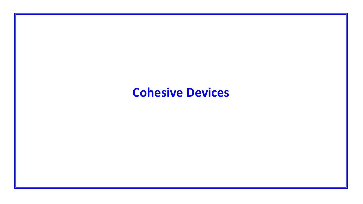## **Cohesive Devices**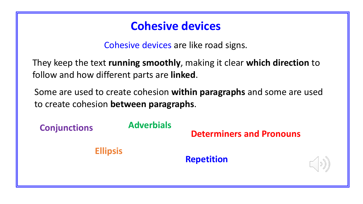#### **Cohesive devices**

Cohesive devices are like road signs.

They keep the text **running smoothly**, making it clear **which direction** to follow and how different parts are **linked**.

Some are used to create cohesion **within paragraphs** and some are used to create cohesion **between paragraphs**.

**Determiners and Pronouns Conjunctions Ellipsis Adverbials Repetition**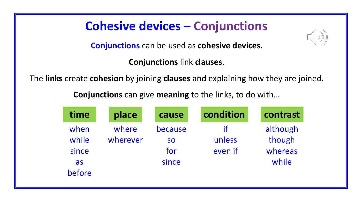## **Cohesive devices – Conjunctions**

**Conjunctions** can be used as **cohesive devices**.

**Conjunctions** link **clauses**.

The **links** create **cohesion** by joining **clauses** and explaining how they are joined.

**Conjunctions** can give **meaning** to the links, to do with…

| time                                   | place             | cause                                | condition               | contrast                               |
|----------------------------------------|-------------------|--------------------------------------|-------------------------|----------------------------------------|
| when<br>while<br>since<br>as<br>before | where<br>wherever | because<br><b>SO</b><br>for<br>since | if<br>unless<br>even if | although<br>though<br>whereas<br>while |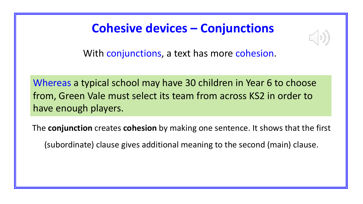### **Cohesive devices – Conjunctions**



With conjunctions, a text has more cohesion.

Whereas a typical school may have 30 children in Year 6 to choose from, Green Vale must select its team from across KS2 in order to have enough players.

The **conjunction** creates **cohesion** by making one sentence. It shows that the first

(subordinate) clause gives additional meaning to the second (main) clause.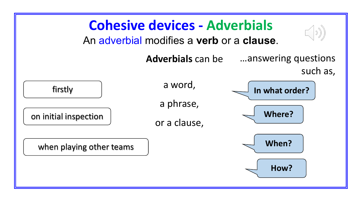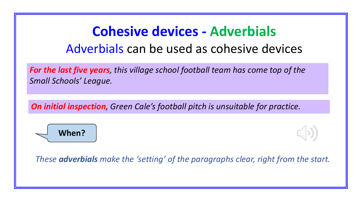# **Cohesive devices - Adverbials** Adverbials can be used as cohesive devices

*For the last five years, this village school football team has come top of the Small Schools' League.* 

*On initial inspection, Green Cale's football pitch is unsuitable for practice.* 





*These adverbials make the 'setting' of the paragraphs clear, right from the start.*